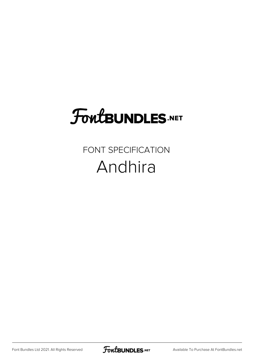## **FoutBUNDLES.NET**

## FONT SPECIFICATION Andhira

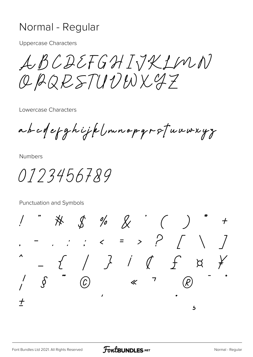## Normal - Regular

**Uppercase Characters** 

LBCDEFGHIJKLMN OBQRSTUVWX97

Lowercase Characters

abcdefghijklmnopgrstuuwxyz

**Numbers** 

0123456789

Punctuation and Symbols

 $\begin{array}{ccccc} & \mathcal{S} & \mathcal{A} & \mathcal{S} & \mathcal{A} \end{array}$ ※  $\boldsymbol{+}$  $\beta$  $\bigodot$  $\ll$   $\sim$   $\sim$  $\int$  $\overline{t}$  $\overline{\mathbf{b}}$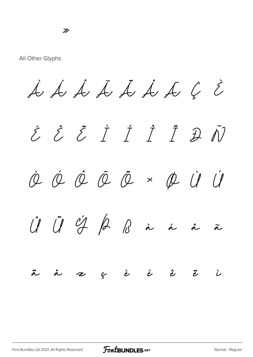All Other Glyphs

 $\dot{A}$   $\dot{A}$   $\dot{A}$   $\dot{A}$   $\dot{A}$   $\dot{C}$   $\dot{C}$ 

É Ê Ë Ì Í Î Ï Ð Ñ Ò Ó Ô Õ Ö × Ø Ù Ú  $\hat{U}$   $\hat{U}$   $\hat{V}$   $\hat{\beta}$   $\hat{\beta}$   $\hat{\alpha}$  à á  $\tilde{\alpha}$ ä å æ ç è é ê ë ì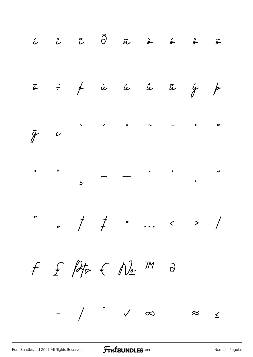$\begin{array}{ccc} \hat{\iota} & \hat{\iota} & \hat{\iota} & \tilde{\upsilon} & \tilde{\upsilon} & \tilde{\upsilon} & \hat{\omega} & \hat{\omega} & \hat{\omega} & \tilde{\omega} \end{array}$  $\ddot{\tilde{a}}$   $\div$   $\phi$  in in in  $\frac{1}{f}$  /  $\ddot{y}$   $\sim$  $\bullet$  $\frac{1}{2}$  ,  $\frac{1}{2}$  ,  $\frac{1}{2}$  ,  $\frac{1}{2}$  ,  $\frac{1}{2}$  ,  $\frac{1}{2}$  ,  $\frac{1}{2}$  ,  $\frac{1}{2}$  ,  $\frac{1}{2}$  ,  $\frac{1}{2}$  ,  $\frac{1}{2}$  ,  $\frac{1}{2}$  ,  $\frac{1}{2}$  ,  $\frac{1}{2}$  ,  $\frac{1}{2}$  ,  $\frac{1}{2}$  ,  $\frac{1}{2}$  ,  $\frac{1}{2}$  ,  $\frac{1$  $f f \notin \mathbb{A}_{F} \in \mathbb{N}_{E}$  M  $\Theta$  $-$  /  $\checkmark$   $\varphi$  $\approx$   $\leq$ 

FontBUNDLES.NET